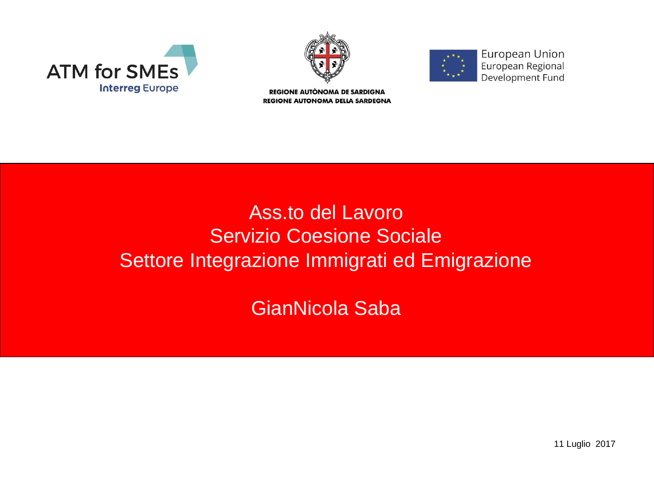





European Union European Regional Development Fund

REGIONE AUTÒNOMA DE SARDIGNA **REGIONE AUTONOMA DELLA SARDEGNA** 

### Ass.to del Lavoro Servizio Coesione Sociale Settore Integrazione Immigrati ed Emigrazione

GianNicola Saba

11 Luglio 2017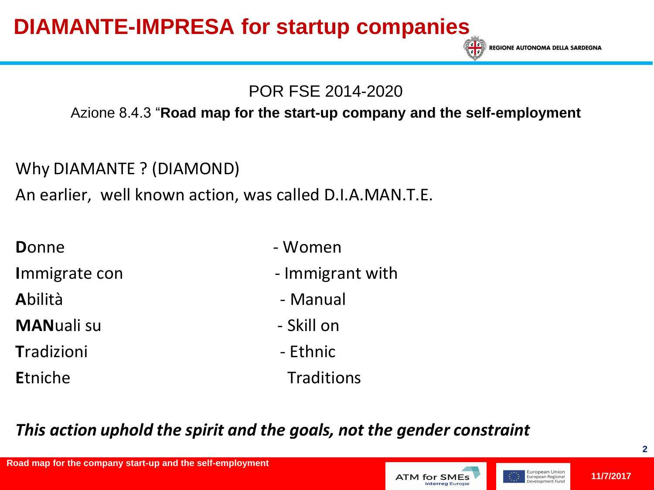**REGIONE AUTONOMA DELLA SARDEGNA** 

### POR FSE 2014-2020

#### Azione 8.4.3 "**Road map for the start-up company and the self-employment**

Why DIAMANTE ? (DIAMOND)

An earlier, well known action, was called D.I.A.MAN.T.E.

| <b>D</b> onne    | - Women          |
|------------------|------------------|
| Immigrate con    | - Immigrant with |
| Abilità          | - Manual         |
| <b>MANualisu</b> | - Skill on       |
| Tradizioni       | - Ethnic         |
| Etniche          | Traditions       |

### *This action uphold the spirit and the goals, not the gender constraint*

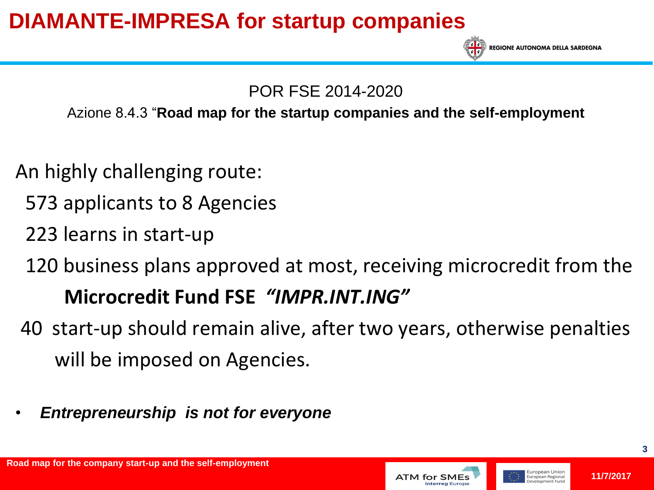

**REGIONE AUTONOMA DELLA SARDEGNA** 

### POR FSE 2014-2020

### Azione 8.4.3 "**Road map for the startup companies and the self-employment**

- An highly challenging route:
	- 573 applicants to 8 Agencies
	- 223 learns in start-up
	- 120 business plans approved at most, receiving microcredit from the

# **Microcredit Fund FSE** *"IMPR.INT.ING"*

- 40 start-up should remain alive, after two years, otherwise penalties will be imposed on Agencies.
- *Entrepreneurship is not for everyone*



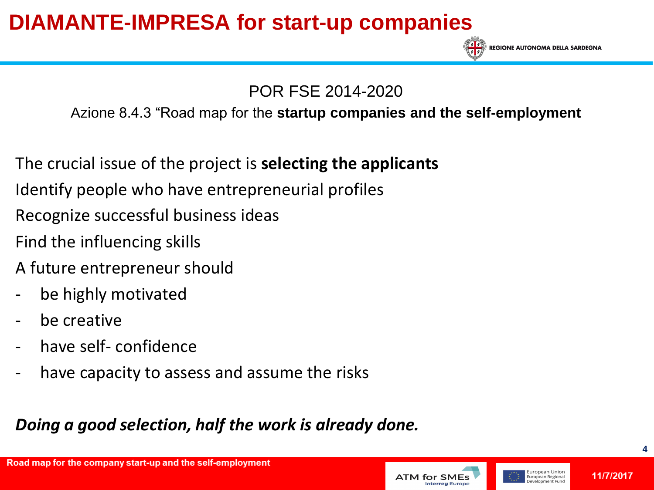

POR FSE 2014-2020

### Azione 8.4.3 "Road map for the **startup companies and the self-employment**

The crucial issue of the project is **selecting the applicants**

- Identify people who have entrepreneurial profiles
- Recognize successful business ideas
- Find the influencing skills
- A future entrepreneur should
- be highly motivated
- be creative
- have self- confidence
- have capacity to assess and assume the risks

### *Doing a good selection, half the work is already done.*



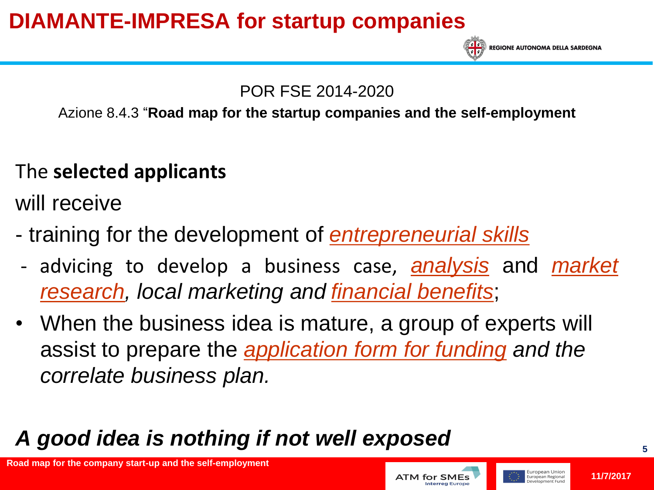

**REGIONE AUTONOMA DELLA SARDEGNA** 

### POR FSE 2014-2020

### Azione 8.4.3 "**Road map for the startup companies and the self-employment**

# The **selected applicants**

will receive

- training for the development of *[entrepreneurial](http://context.reverso.net/traduzione/inglese-italiano/entrepreneurial+skills) [skills](http://context.reverso.net/traduzione/inglese-italiano/entrepreneurial+skills)*
- advicing to develop a business case, *[analysis](http://context.reverso.net/traduzione/inglese-italiano/analysis)* and *[market](http://context.reverso.net/traduzione/inglese-italiano/market+research) [research,](http://context.reverso.net/traduzione/inglese-italiano/market+research) local marketing and [financial](http://context.reverso.net/traduzione/inglese-italiano/financial+benefits) [benefits](http://context.reverso.net/traduzione/inglese-italiano/financial+benefits)*;
- When the business idea is mature, a group of experts will assist to prepare the *[application form for funding](http://context.reverso.net/traduzione/inglese-italiano/application+for+funding) and the correlate business plan.*

# *A good idea is nothing if not well exposed*

**Road map for the company start-up and the self-employment**

### **11/7/2017**

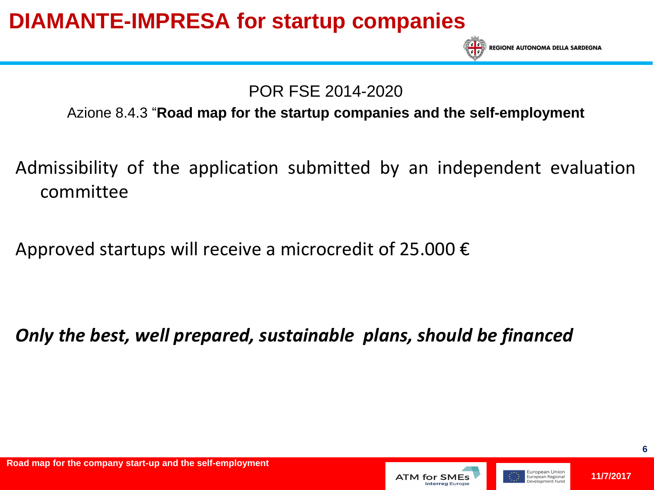

POR FSE 2014-2020

#### Azione 8.4.3 "**Road map for the startup companies and the self-employment**

- Admissibility of the application submitted by an independent evaluation committee
- Approved startups will receive a microcredit of 25.000  $\epsilon$

*Only the best, well prepared, sustainable plans, should be financed* 



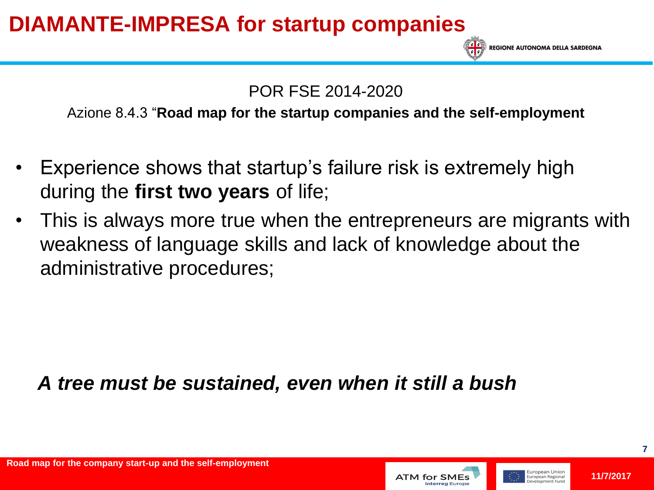POR FSE 2014-2020

Azione 8.4.3 "**Road map for the startup companies and the self-employment**

- Experience shows that startup's failure risk is extremely high during the **first two years** of life;
- This is always more true when the entrepreneurs are migrants with weakness of language skills and lack of knowledge about the administrative procedures;

### *A tree must be sustained, even when it still a bush*



**REGIONE AUTONOMA DELLA SARDEGNA** 

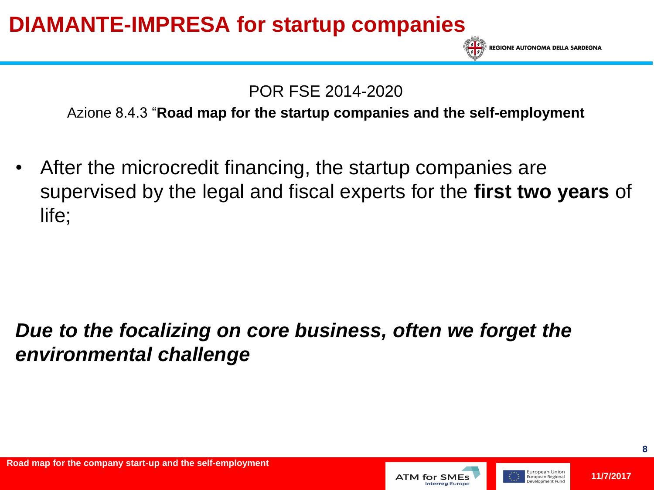**REGIONE AUTONOMA DELLA SARDEGNA** 

POR FSE 2014-2020

Azione 8.4.3 "**Road map for the startup companies and the self-employment**

After the microcredit financing, the startup companies are supervised by the legal and fiscal experts for the **first two years** of life;

### *Due to the focalizing on core business, often we forget the environmental challenge*



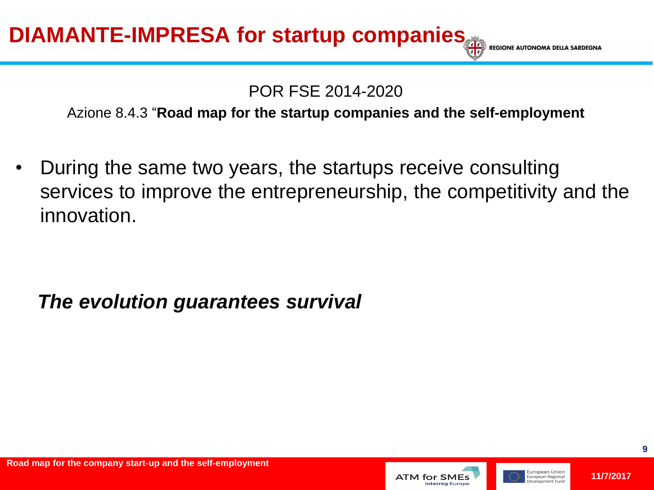**REGIONE AUTONO** 

### POR FSE 2014-2020

Azione 8.4.3 "**Road map for the startup companies and the self-employment**

• During the same two years, the startups receive consulting services to improve the entrepreneurship, the competitivity and the innovation.

### *The evolution guarantees survival*



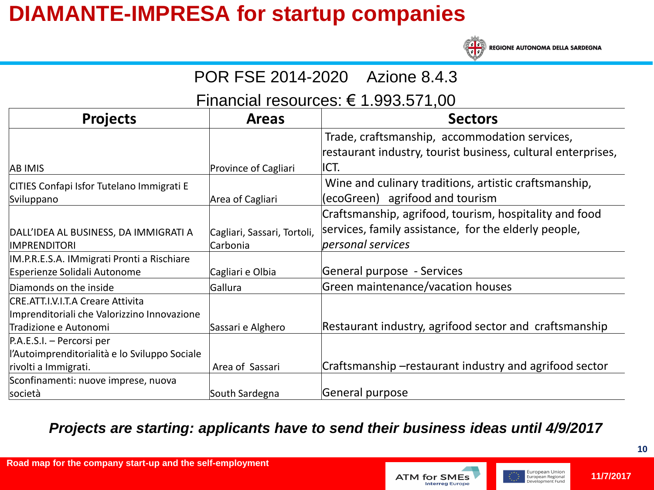

**REGIONE AUTONOMA DELLA SARDEGNA** 

| POR FSE 2014-2020 Azione 8.4.3                                                   |                             |                                                                                                                |  |
|----------------------------------------------------------------------------------|-----------------------------|----------------------------------------------------------------------------------------------------------------|--|
| Financial resources: $\epsilon$ 1.993.571,00                                     |                             |                                                                                                                |  |
| <b>Projects</b>                                                                  | <b>Areas</b>                | <b>Sectors</b>                                                                                                 |  |
|                                                                                  |                             | Trade, craftsmanship, accommodation services,<br>restaurant industry, tourist business, cultural enterprises,  |  |
| <b>AB IMIS</b>                                                                   | Province of Cagliari        | ICT.                                                                                                           |  |
| CITIES Confapi Isfor Tutelano Immigrati E                                        |                             | Wine and culinary traditions, artistic craftsmanship,                                                          |  |
| Sviluppano                                                                       | Area of Cagliari            | (ecoGreen) agrifood and tourism                                                                                |  |
| DALL'IDEA AL BUSINESS, DA IMMIGRATI A                                            | Cagliari, Sassari, Tortoli, | Craftsmanship, agrifood, tourism, hospitality and food<br>services, family assistance, for the elderly people, |  |
| <b>IMPRENDITORI</b>                                                              | Carbonia                    | personal services                                                                                              |  |
| IM.P.R.E.S.A. IMmigrati Pronti a Rischiare<br>Esperienze Solidali Autonome       | Cagliari e Olbia            | General purpose - Services                                                                                     |  |
| Diamonds on the inside                                                           | Gallura                     | Green maintenance/vacation houses                                                                              |  |
| CRE.ATT.I.V.I.T.A Creare Attivita<br>Imprenditoriali che Valorizzino Innovazione |                             |                                                                                                                |  |
| Tradizione e Autonomi                                                            | Sassari e Alghero           | Restaurant industry, agrifood sector and craftsmanship                                                         |  |
| P.A.E.S.I. – Percorsi per                                                        |                             |                                                                                                                |  |
| l'Autoimprenditorialità e lo Sviluppo Sociale                                    |                             |                                                                                                                |  |
| rivolti a Immigrati.                                                             | Area of Sassari             | Craftsmanship –restaurant industry and agrifood sector                                                         |  |
| Sconfinamenti: nuove imprese, nuova                                              |                             |                                                                                                                |  |
| società                                                                          | South Sardegna              | General purpose                                                                                                |  |

#### *Projects are starting: applicants have to send their business ideas until 4/9/2017*

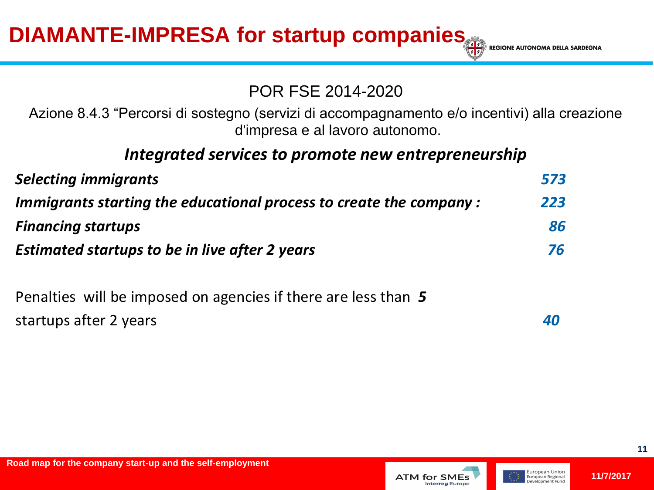DIAMANTE-IMPRESA for startup companies **Example AUTONG AUTONG AUTON** 

#### POR FSE 2014-2020

Azione 8.4.3 "Percorsi di sostegno (servizi di accompagnamento e/o incentivi) alla creazione d'impresa e al lavoro autonomo.

### *Integrated services to promote new entrepreneurship*

| <b>Selecting immigrants</b>                                        | 573 |
|--------------------------------------------------------------------|-----|
| Immigrants starting the educational process to create the company: | 223 |
| <b>Financing startups</b>                                          | 86  |
| <b>Estimated startups to be in live after 2 years</b>              |     |
|                                                                    |     |

Penalties will be imposed on agencies if there are less than *5*  startups after 2 years *40*



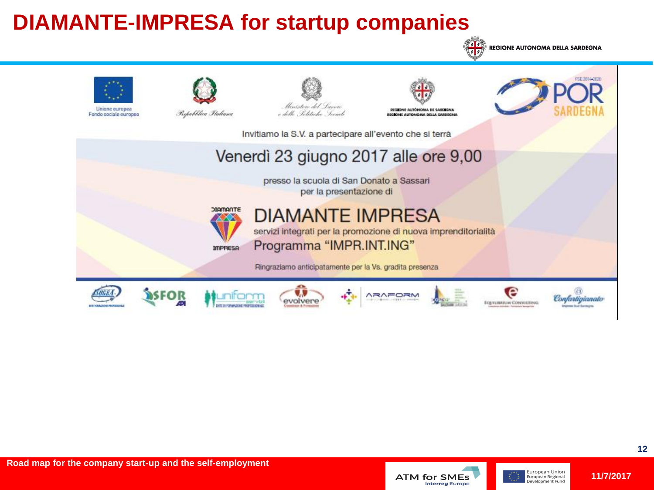

**REGIONE AUTONOMA DELLA SARDEGNA**